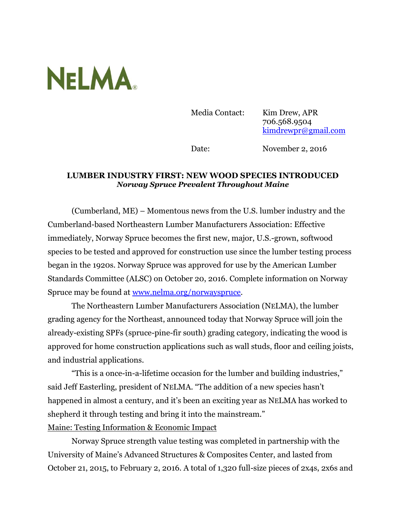

Media Contact: Kim Drew, APR 706.568.9504 [kimdrewpr@gmail.com](mailto:kimdrewpr@gmail.com)

Date: November 2, 2016

## **LUMBER INDUSTRY FIRST: NEW WOOD SPECIES INTRODUCED** *Norway Spruce Prevalent Throughout Maine*

(Cumberland, ME) – Momentous news from the U.S. lumber industry and the Cumberland-based Northeastern Lumber Manufacturers Association: Effective immediately, Norway Spruce becomes the first new, major, U.S.-grown, softwood species to be tested and approved for construction use since the lumber testing process began in the 1920s. Norway Spruce was approved for use by the American Lumber Standards Committee (ALSC) on October 20, 2016. Complete information on Norway Spruce may be found at [www.nelma.org/norwayspruce.](http://www.nelma.org/norwayspruce)

The Northeastern Lumber Manufacturers Association (NELMA), the lumber grading agency for the Northeast, announced today that Norway Spruce will join the already-existing SPFs (spruce-pine-fir south) grading category, indicating the wood is approved for home construction applications such as wall studs, floor and ceiling joists, and industrial applications.

"This is a once-in-a-lifetime occasion for the lumber and building industries," said Jeff Easterling, president of NELMA. "The addition of a new species hasn't happened in almost a century, and it's been an exciting year as NELMA has worked to shepherd it through testing and bring it into the mainstream." Maine: Testing Information & Economic Impact

Norway Spruce strength value testing was completed in partnership with the University of Maine's Advanced Structures & Composites Center, and lasted from October 21, 2015, to February 2, 2016. A total of 1,320 full-size pieces of 2x4s, 2x6s and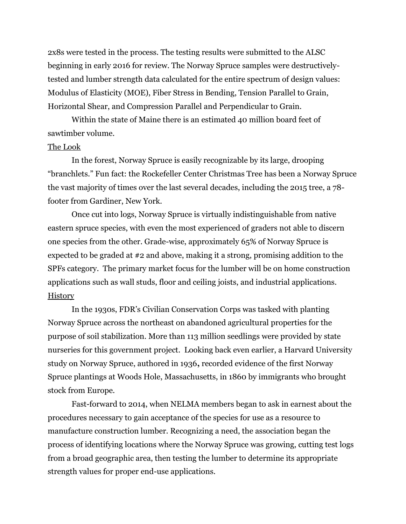2x8s were tested in the process. The testing results were submitted to the ALSC beginning in early 2016 for review. The Norway Spruce samples were destructivelytested and lumber strength data calculated for the entire spectrum of design values: Modulus of Elasticity (MOE), Fiber Stress in Bending, Tension Parallel to Grain, Horizontal Shear, and Compression Parallel and Perpendicular to Grain.

Within the state of Maine there is an estimated 40 million board feet of sawtimber volume.

## The Look

In the forest, Norway Spruce is easily recognizable by its large, drooping "branchlets." Fun fact: the Rockefeller Center Christmas Tree has been a Norway Spruce the vast majority of times over the last several decades, including the 2015 tree, a 78 footer from Gardiner, New York.

Once cut into logs, Norway Spruce is virtually indistinguishable from native eastern spruce species, with even the most experienced of graders not able to discern one species from the other. Grade-wise, approximately 65% of Norway Spruce is expected to be graded at #2 and above, making it a strong, promising addition to the SPFs category. The primary market focus for the lumber will be on home construction applications such as wall studs, floor and ceiling joists, and industrial applications. History

In the 1930s, FDR's Civilian Conservation Corps was tasked with planting Norway Spruce across the northeast on abandoned agricultural properties for the purpose of soil stabilization. More than 113 million seedlings were provided by state nurseries for this government project. Looking back even earlier, a Harvard University study on Norway Spruce, authored in 1936**,** recorded evidence of the first Norway Spruce plantings at Woods Hole, Massachusetts, in 1860 by immigrants who brought stock from Europe.

Fast-forward to 2014, when NELMA members began to ask in earnest about the procedures necessary to gain acceptance of the species for use as a resource to manufacture construction lumber. Recognizing a need, the association began the process of identifying locations where the Norway Spruce was growing, cutting test logs from a broad geographic area, then testing the lumber to determine its appropriate strength values for proper end-use applications.